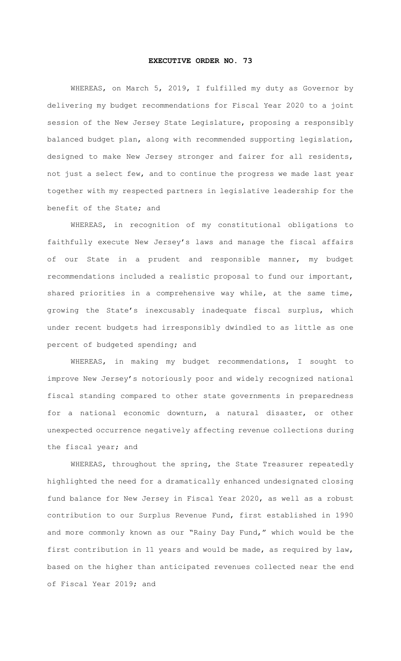## **EXECUTIVE ORDER NO. 73**

WHEREAS, on March 5, 2019, I fulfilled my duty as Governor by delivering my budget recommendations for Fiscal Year 2020 to a joint session of the New Jersey State Legislature, proposing a responsibly balanced budget plan, along with recommended supporting legislation, designed to make New Jersey stronger and fairer for all residents, not just a select few, and to continue the progress we made last year together with my respected partners in legislative leadership for the benefit of the State; and

WHEREAS, in recognition of my constitutional obligations to faithfully execute New Jersey's laws and manage the fiscal affairs of our State in a prudent and responsible manner, my budget recommendations included a realistic proposal to fund our important, shared priorities in a comprehensive way while, at the same time, growing the State's inexcusably inadequate fiscal surplus, which under recent budgets had irresponsibly dwindled to as little as one percent of budgeted spending; and

WHEREAS, in making my budget recommendations, I sought to improve New Jersey's notoriously poor and widely recognized national fiscal standing compared to other state governments in preparedness for a national economic downturn, a natural disaster, or other unexpected occurrence negatively affecting revenue collections during the fiscal year; and

WHEREAS, throughout the spring, the State Treasurer repeatedly highlighted the need for a dramatically enhanced undesignated closing fund balance for New Jersey in Fiscal Year 2020, as well as a robust contribution to our Surplus Revenue Fund, first established in 1990 and more commonly known as our "Rainy Day Fund," which would be the first contribution in 11 years and would be made, as required by law, based on the higher than anticipated revenues collected near the end of Fiscal Year 2019; and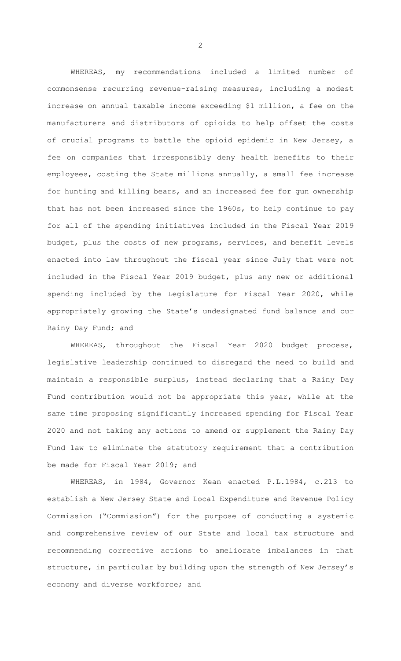WHEREAS, my recommendations included a limited number of commonsense recurring revenue-raising measures, including a modest increase on annual taxable income exceeding \$1 million, a fee on the manufacturers and distributors of opioids to help offset the costs of crucial programs to battle the opioid epidemic in New Jersey, a fee on companies that irresponsibly deny health benefits to their employees, costing the State millions annually, a small fee increase for hunting and killing bears, and an increased fee for gun ownership that has not been increased since the 1960s, to help continue to pay for all of the spending initiatives included in the Fiscal Year 2019 budget, plus the costs of new programs, services, and benefit levels enacted into law throughout the fiscal year since July that were not included in the Fiscal Year 2019 budget, plus any new or additional spending included by the Legislature for Fiscal Year 2020, while appropriately growing the State's undesignated fund balance and our Rainy Day Fund; and

WHEREAS, throughout the Fiscal Year 2020 budget process, legislative leadership continued to disregard the need to build and maintain a responsible surplus, instead declaring that a Rainy Day Fund contribution would not be appropriate this year, while at the same time proposing significantly increased spending for Fiscal Year 2020 and not taking any actions to amend or supplement the Rainy Day Fund law to eliminate the statutory requirement that a contribution be made for Fiscal Year 2019; and

WHEREAS, in 1984, Governor Kean enacted P.L.1984, c.213 to establish a New Jersey State and Local Expenditure and Revenue Policy Commission ("Commission") for the purpose of conducting a systemic and comprehensive review of our State and local tax structure and recommending corrective actions to ameliorate imbalances in that structure, in particular by building upon the strength of New Jersey's economy and diverse workforce; and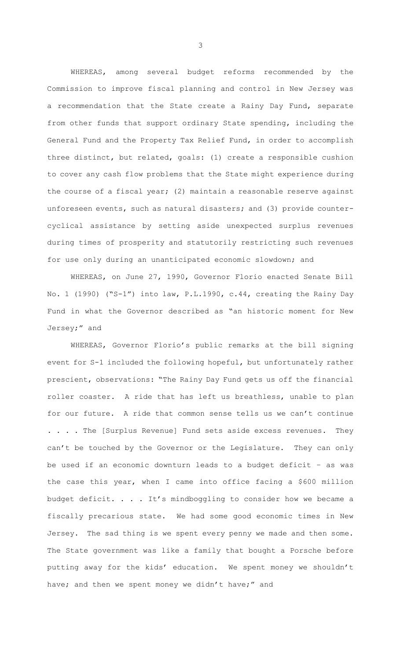WHEREAS, among several budget reforms recommended by the Commission to improve fiscal planning and control in New Jersey was a recommendation that the State create a Rainy Day Fund, separate from other funds that support ordinary State spending, including the General Fund and the Property Tax Relief Fund, in order to accomplish three distinct, but related, goals: (1) create a responsible cushion to cover any cash flow problems that the State might experience during the course of a fiscal year; (2) maintain a reasonable reserve against unforeseen events, such as natural disasters; and (3) provide countercyclical assistance by setting aside unexpected surplus revenues during times of prosperity and statutorily restricting such revenues for use only during an unanticipated economic slowdown; and

WHEREAS, on June 27, 1990, Governor Florio enacted Senate Bill No. 1 (1990) ("S-1") into law, P.L.1990, c.44, creating the Rainy Day Fund in what the Governor described as "an historic moment for New Jersey;" and

WHEREAS, Governor Florio's public remarks at the bill signing event for S-1 included the following hopeful, but unfortunately rather prescient, observations: "The Rainy Day Fund gets us off the financial roller coaster. A ride that has left us breathless, unable to plan for our future. A ride that common sense tells us we can't continue . . . . The [Surplus Revenue] Fund sets aside excess revenues. They can't be touched by the Governor or the Legislature. They can only be used if an economic downturn leads to a budget deficit – as was the case this year, when I came into office facing a \$600 million budget deficit. . . . It's mindboggling to consider how we became a fiscally precarious state. We had some good economic times in New Jersey. The sad thing is we spent every penny we made and then some. The State government was like a family that bought a Porsche before putting away for the kids' education. We spent money we shouldn't have; and then we spent money we didn't have;" and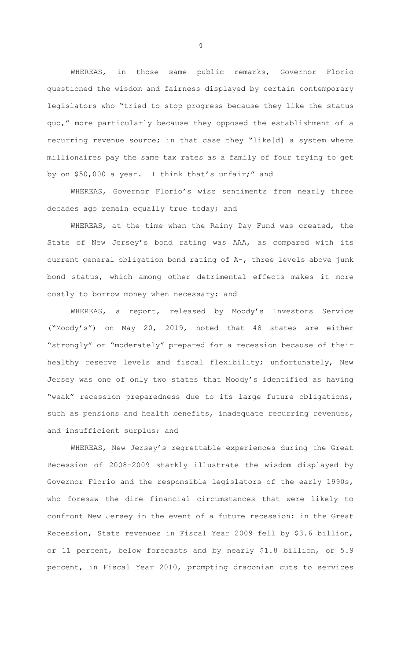WHEREAS, in those same public remarks, Governor Florio questioned the wisdom and fairness displayed by certain contemporary legislators who "tried to stop progress because they like the status quo," more particularly because they opposed the establishment of a recurring revenue source; in that case they "like[d] a system where millionaires pay the same tax rates as a family of four trying to get by on \$50,000 a year. I think that's unfair;" and

WHEREAS, Governor Florio's wise sentiments from nearly three decades ago remain equally true today; and

WHEREAS, at the time when the Rainy Day Fund was created, the State of New Jersey's bond rating was AAA, as compared with its current general obligation bond rating of A-, three levels above junk bond status, which among other detrimental effects makes it more costly to borrow money when necessary; and

WHEREAS, a report, released by Moody's Investors Service ("Moody's") on May 20, 2019, noted that 48 states are either "strongly" or "moderately" prepared for a recession because of their healthy reserve levels and fiscal flexibility; unfortunately, New Jersey was one of only two states that Moody's identified as having "weak" recession preparedness due to its large future obligations, such as pensions and health benefits, inadequate recurring revenues, and insufficient surplus; and

WHEREAS, New Jersey's regrettable experiences during the Great Recession of 2008-2009 starkly illustrate the wisdom displayed by Governor Florio and the responsible legislators of the early 1990s, who foresaw the dire financial circumstances that were likely to confront New Jersey in the event of a future recession: in the Great Recession, State revenues in Fiscal Year 2009 fell by \$3.6 billion, or 11 percent, below forecasts and by nearly \$1.8 billion, or 5.9 percent, in Fiscal Year 2010, prompting draconian cuts to services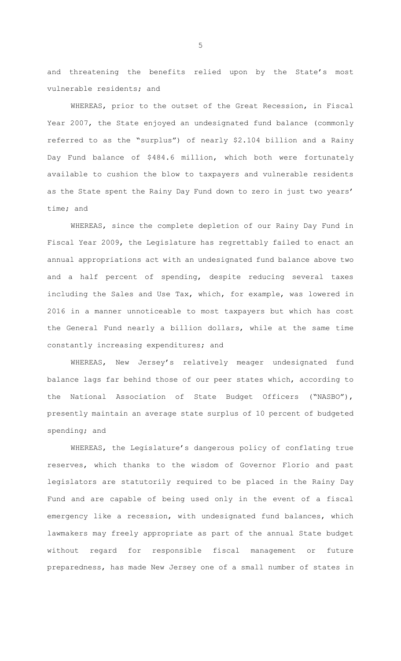and threatening the benefits relied upon by the State's most vulnerable residents; and

WHEREAS, prior to the outset of the Great Recession, in Fiscal Year 2007, the State enjoyed an undesignated fund balance (commonly referred to as the "surplus") of nearly \$2.104 billion and a Rainy Day Fund balance of \$484.6 million, which both were fortunately available to cushion the blow to taxpayers and vulnerable residents as the State spent the Rainy Day Fund down to zero in just two years' time; and

WHEREAS, since the complete depletion of our Rainy Day Fund in Fiscal Year 2009, the Legislature has regrettably failed to enact an annual appropriations act with an undesignated fund balance above two and a half percent of spending, despite reducing several taxes including the Sales and Use Tax, which, for example, was lowered in 2016 in a manner unnoticeable to most taxpayers but which has cost the General Fund nearly a billion dollars, while at the same time constantly increasing expenditures; and

WHEREAS, New Jersey's relatively meager undesignated fund balance lags far behind those of our peer states which, according to the National Association of State Budget Officers ("NASBO"), presently maintain an average state surplus of 10 percent of budgeted spending; and

WHEREAS, the Legislature's dangerous policy of conflating true reserves, which thanks to the wisdom of Governor Florio and past legislators are statutorily required to be placed in the Rainy Day Fund and are capable of being used only in the event of a fiscal emergency like a recession, with undesignated fund balances, which lawmakers may freely appropriate as part of the annual State budget without regard for responsible fiscal management or future preparedness, has made New Jersey one of a small number of states in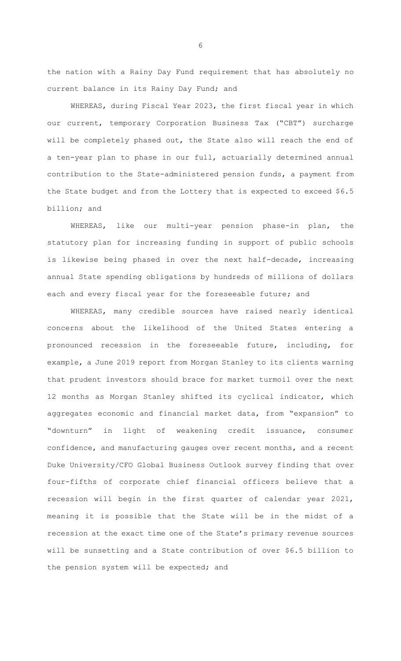the nation with a Rainy Day Fund requirement that has absolutely no current balance in its Rainy Day Fund; and

WHEREAS, during Fiscal Year 2023, the first fiscal year in which our current, temporary Corporation Business Tax ("CBT") surcharge will be completely phased out, the State also will reach the end of a ten-year plan to phase in our full, actuarially determined annual contribution to the State-administered pension funds, a payment from the State budget and from the Lottery that is expected to exceed \$6.5 billion; and

WHEREAS, like our multi-year pension phase-in plan, the statutory plan for increasing funding in support of public schools is likewise being phased in over the next half-decade, increasing annual State spending obligations by hundreds of millions of dollars each and every fiscal year for the foreseeable future; and

WHEREAS, many credible sources have raised nearly identical concerns about the likelihood of the United States entering a pronounced recession in the foreseeable future, including, for example, a June 2019 report from Morgan Stanley to its clients warning that prudent investors should brace for market turmoil over the next 12 months as Morgan Stanley shifted its cyclical indicator, which aggregates economic and financial market data, from "expansion" to "downturn" in light of weakening credit issuance, consumer confidence, and manufacturing gauges over recent months, and a recent Duke University/CFO Global Business Outlook survey finding that over four-fifths of corporate chief financial officers believe that a recession will begin in the first quarter of calendar year 2021, meaning it is possible that the State will be in the midst of a recession at the exact time one of the State's primary revenue sources will be sunsetting and a State contribution of over \$6.5 billion to the pension system will be expected; and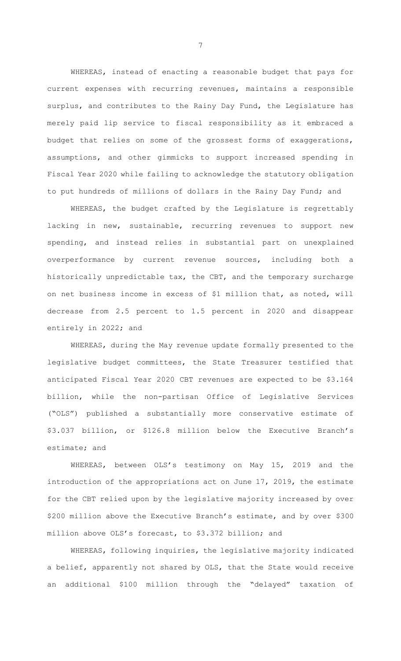WHEREAS, instead of enacting a reasonable budget that pays for current expenses with recurring revenues, maintains a responsible surplus, and contributes to the Rainy Day Fund, the Legislature has merely paid lip service to fiscal responsibility as it embraced a budget that relies on some of the grossest forms of exaggerations, assumptions, and other gimmicks to support increased spending in Fiscal Year 2020 while failing to acknowledge the statutory obligation to put hundreds of millions of dollars in the Rainy Day Fund; and

WHEREAS, the budget crafted by the Legislature is regrettably lacking in new, sustainable, recurring revenues to support new spending, and instead relies in substantial part on unexplained overperformance by current revenue sources, including both a historically unpredictable tax, the CBT, and the temporary surcharge on net business income in excess of \$1 million that, as noted, will decrease from 2.5 percent to 1.5 percent in 2020 and disappear entirely in 2022; and

WHEREAS, during the May revenue update formally presented to the legislative budget committees, the State Treasurer testified that anticipated Fiscal Year 2020 CBT revenues are expected to be \$3.164 billion, while the non-partisan Office of Legislative Services ("OLS") published a substantially more conservative estimate of \$3.037 billion, or \$126.8 million below the Executive Branch's estimate; and

WHEREAS, between OLS's testimony on May 15, 2019 and the introduction of the appropriations act on June 17, 2019, the estimate for the CBT relied upon by the legislative majority increased by over \$200 million above the Executive Branch's estimate, and by over \$300 million above OLS's forecast, to \$3.372 billion; and

WHEREAS, following inquiries, the legislative majority indicated a belief, apparently not shared by OLS, that the State would receive an additional \$100 million through the "delayed" taxation of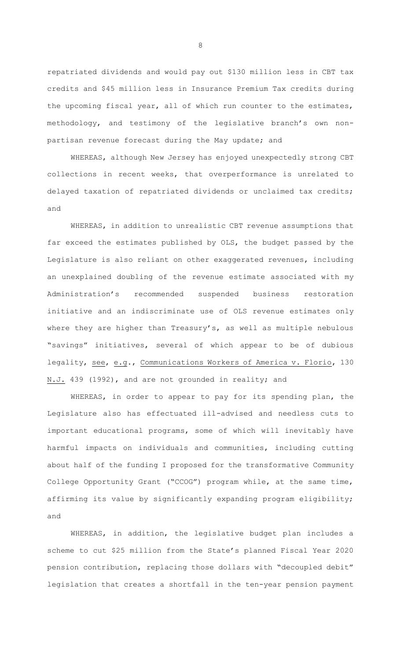repatriated dividends and would pay out \$130 million less in CBT tax credits and \$45 million less in Insurance Premium Tax credits during the upcoming fiscal year, all of which run counter to the estimates, methodology, and testimony of the legislative branch's own nonpartisan revenue forecast during the May update; and

WHEREAS, although New Jersey has enjoyed unexpectedly strong CBT collections in recent weeks, that overperformance is unrelated to delayed taxation of repatriated dividends or unclaimed tax credits; and

WHEREAS, in addition to unrealistic CBT revenue assumptions that far exceed the estimates published by OLS, the budget passed by the Legislature is also reliant on other exaggerated revenues, including an unexplained doubling of the revenue estimate associated with my Administration's recommended suspended business restoration initiative and an indiscriminate use of OLS revenue estimates only where they are higher than Treasury's, as well as multiple nebulous "savings" initiatives, several of which appear to be of dubious legality, see, e.g., Communications Workers of America v. Florio, 130 N.J. 439 (1992), and are not grounded in reality; and

WHEREAS, in order to appear to pay for its spending plan, the Legislature also has effectuated ill-advised and needless cuts to important educational programs, some of which will inevitably have harmful impacts on individuals and communities, including cutting about half of the funding I proposed for the transformative Community College Opportunity Grant ("CCOG") program while, at the same time, affirming its value by significantly expanding program eligibility; and

WHEREAS, in addition, the legislative budget plan includes a scheme to cut \$25 million from the State's planned Fiscal Year 2020 pension contribution, replacing those dollars with "decoupled debit" legislation that creates a shortfall in the ten-year pension payment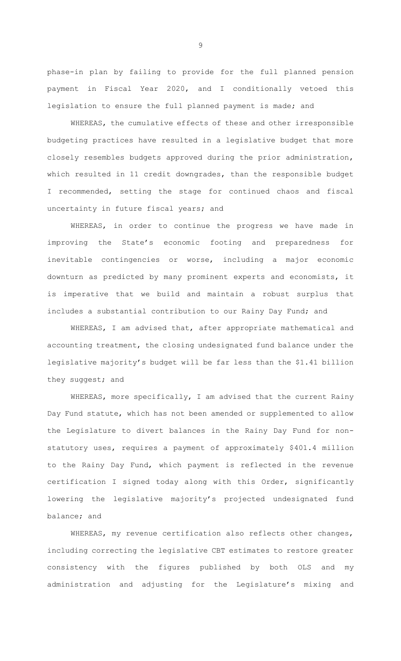phase-in plan by failing to provide for the full planned pension payment in Fiscal Year 2020, and I conditionally vetoed this legislation to ensure the full planned payment is made; and

WHEREAS, the cumulative effects of these and other irresponsible budgeting practices have resulted in a legislative budget that more closely resembles budgets approved during the prior administration, which resulted in 11 credit downgrades, than the responsible budget I recommended, setting the stage for continued chaos and fiscal uncertainty in future fiscal years; and

WHEREAS, in order to continue the progress we have made in improving the State's economic footing and preparedness for inevitable contingencies or worse, including a major economic downturn as predicted by many prominent experts and economists, it is imperative that we build and maintain a robust surplus that includes a substantial contribution to our Rainy Day Fund; and

WHEREAS, I am advised that, after appropriate mathematical and accounting treatment, the closing undesignated fund balance under the legislative majority's budget will be far less than the \$1.41 billion they suggest; and

WHEREAS, more specifically, I am advised that the current Rainy Day Fund statute, which has not been amended or supplemented to allow the Legislature to divert balances in the Rainy Day Fund for nonstatutory uses, requires a payment of approximately \$401.4 million to the Rainy Day Fund, which payment is reflected in the revenue certification I signed today along with this Order, significantly lowering the legislative majority's projected undesignated fund balance; and

WHEREAS, my revenue certification also reflects other changes, including correcting the legislative CBT estimates to restore greater consistency with the figures published by both OLS and my administration and adjusting for the Legislature's mixing and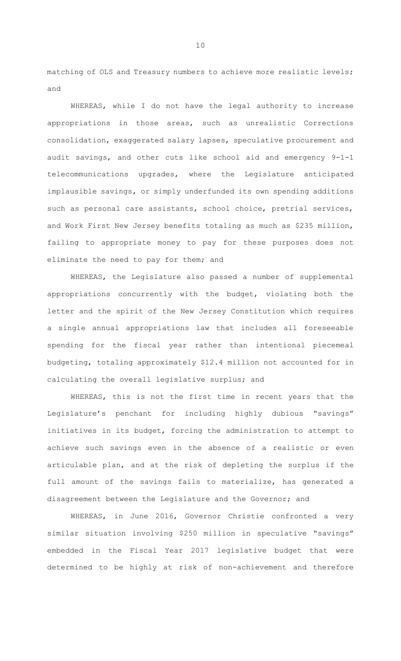matching of OLS and Treasury numbers to achieve more realistic levels; and

WHEREAS, while I do not have the legal authority to increase appropriations in those areas, such as unrealistic Corrections consolidation, exaggerated salary lapses, speculative procurement and audit savings, and other cuts like school aid and emergency 9-1-1 telecommunications upgrades, where the Legislature anticipated implausible savings, or simply underfunded its own spending additions such as personal care assistants, school choice, pretrial services, and Work First New Jersey benefits totaling as much as \$235 million, failing to appropriate money to pay for these purposes does not eliminate the need to pay for them; and

WHEREAS, the Legislature also passed a number of supplemental appropriations concurrently with the budget, violating both the letter and the spirit of the New Jersey Constitution which requires a single annual appropriations law that includes all foreseeable spending for the fiscal year rather than intentional piecemeal budgeting, totaling approximately \$12.4 million not accounted for in calculating the overall legislative surplus; and

WHEREAS, this is not the first time in recent years that the Legislature's penchant for including highly dubious "savings" initiatives in its budget, forcing the administration to attempt to achieve such savings even in the absence of a realistic or even articulable plan, and at the risk of depleting the surplus if the full amount of the savings fails to materialize, has generated a disagreement between the Legislature and the Governor; and

WHEREAS, in June 2016, Governor Christie confronted a very similar situation involving \$250 million in speculative "savings" embedded in the Fiscal Year 2017 legislative budget that were determined to be highly at risk of non-achievement and therefore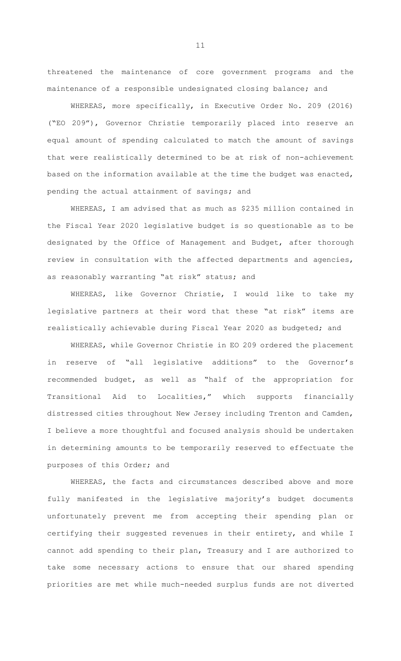threatened the maintenance of core government programs and the maintenance of a responsible undesignated closing balance; and

WHEREAS, more specifically, in Executive Order No. 209 (2016) ("EO 209"), Governor Christie temporarily placed into reserve an equal amount of spending calculated to match the amount of savings that were realistically determined to be at risk of non-achievement based on the information available at the time the budget was enacted, pending the actual attainment of savings; and

WHEREAS, I am advised that as much as \$235 million contained in the Fiscal Year 2020 legislative budget is so questionable as to be designated by the Office of Management and Budget, after thorough review in consultation with the affected departments and agencies, as reasonably warranting "at risk" status; and

WHEREAS, like Governor Christie, I would like to take my legislative partners at their word that these "at risk" items are realistically achievable during Fiscal Year 2020 as budgeted; and

WHEREAS, while Governor Christie in EO 209 ordered the placement in reserve of "all legislative additions" to the Governor's recommended budget, as well as "half of the appropriation for Transitional Aid to Localities," which supports financially distressed cities throughout New Jersey including Trenton and Camden, I believe a more thoughtful and focused analysis should be undertaken in determining amounts to be temporarily reserved to effectuate the purposes of this Order; and

WHEREAS, the facts and circumstances described above and more fully manifested in the legislative majority's budget documents unfortunately prevent me from accepting their spending plan or certifying their suggested revenues in their entirety, and while I cannot add spending to their plan, Treasury and I are authorized to take some necessary actions to ensure that our shared spending priorities are met while much-needed surplus funds are not diverted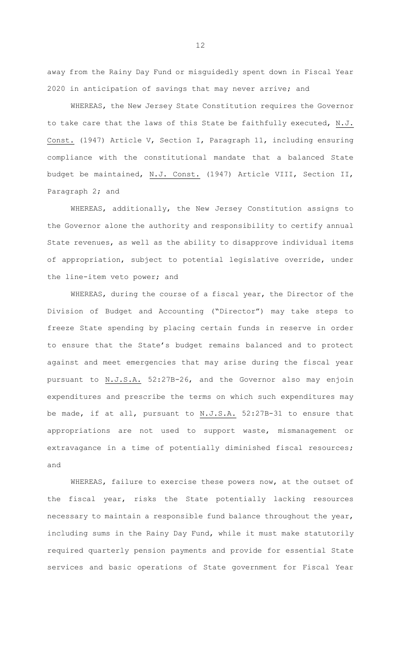away from the Rainy Day Fund or misguidedly spent down in Fiscal Year 2020 in anticipation of savings that may never arrive; and

WHEREAS, the New Jersey State Constitution requires the Governor to take care that the laws of this State be faithfully executed, N.J. Const. (1947) Article V, Section I, Paragraph 11, including ensuring compliance with the constitutional mandate that a balanced State budget be maintained, N.J. Const. (1947) Article VIII, Section II, Paragraph 2; and

WHEREAS, additionally, the New Jersey Constitution assigns to the Governor alone the authority and responsibility to certify annual State revenues, as well as the ability to disapprove individual items of appropriation, subject to potential legislative override, under the line-item veto power; and

WHEREAS, during the course of a fiscal year, the Director of the Division of Budget and Accounting ("Director") may take steps to freeze State spending by placing certain funds in reserve in order to ensure that the State's budget remains balanced and to protect against and meet emergencies that may arise during the fiscal year pursuant to N.J.S.A. 52:27B-26, and the Governor also may enjoin expenditures and prescribe the terms on which such expenditures may be made, if at all, pursuant to N.J.S.A. 52:27B-31 to ensure that appropriations are not used to support waste, mismanagement or extravagance in a time of potentially diminished fiscal resources; and

WHEREAS, failure to exercise these powers now, at the outset of the fiscal year, risks the State potentially lacking resources necessary to maintain a responsible fund balance throughout the year, including sums in the Rainy Day Fund, while it must make statutorily required quarterly pension payments and provide for essential State services and basic operations of State government for Fiscal Year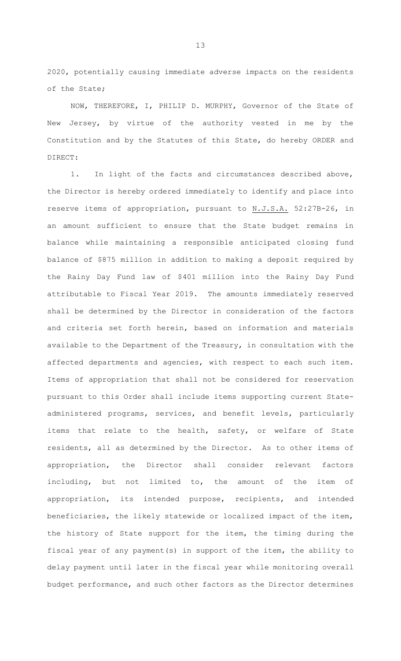2020, potentially causing immediate adverse impacts on the residents of the State;

NOW, THEREFORE, I, PHILIP D. MURPHY, Governor of the State of New Jersey, by virtue of the authority vested in me by the Constitution and by the Statutes of this State, do hereby ORDER and DIRECT:

1. In light of the facts and circumstances described above, the Director is hereby ordered immediately to identify and place into reserve items of appropriation, pursuant to N.J.S.A. 52:27B-26, in an amount sufficient to ensure that the State budget remains in balance while maintaining a responsible anticipated closing fund balance of \$875 million in addition to making a deposit required by the Rainy Day Fund law of \$401 million into the Rainy Day Fund attributable to Fiscal Year 2019. The amounts immediately reserved shall be determined by the Director in consideration of the factors and criteria set forth herein, based on information and materials available to the Department of the Treasury, in consultation with the affected departments and agencies, with respect to each such item. Items of appropriation that shall not be considered for reservation pursuant to this Order shall include items supporting current Stateadministered programs, services, and benefit levels, particularly items that relate to the health, safety, or welfare of State residents, all as determined by the Director. As to other items of appropriation, the Director shall consider relevant factors including, but not limited to, the amount of the item of appropriation, its intended purpose, recipients, and intended beneficiaries, the likely statewide or localized impact of the item, the history of State support for the item, the timing during the fiscal year of any payment(s) in support of the item, the ability to delay payment until later in the fiscal year while monitoring overall budget performance, and such other factors as the Director determines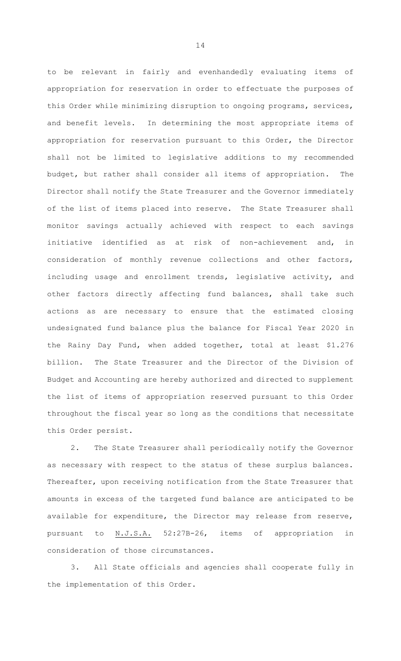to be relevant in fairly and evenhandedly evaluating items of appropriation for reservation in order to effectuate the purposes of this Order while minimizing disruption to ongoing programs, services, and benefit levels. In determining the most appropriate items of appropriation for reservation pursuant to this Order, the Director shall not be limited to legislative additions to my recommended budget, but rather shall consider all items of appropriation. The Director shall notify the State Treasurer and the Governor immediately of the list of items placed into reserve. The State Treasurer shall monitor savings actually achieved with respect to each savings initiative identified as at risk of non-achievement and, in consideration of monthly revenue collections and other factors, including usage and enrollment trends, legislative activity, and other factors directly affecting fund balances, shall take such actions as are necessary to ensure that the estimated closing undesignated fund balance plus the balance for Fiscal Year 2020 in the Rainy Day Fund, when added together, total at least \$1.276 billion. The State Treasurer and the Director of the Division of Budget and Accounting are hereby authorized and directed to supplement the list of items of appropriation reserved pursuant to this Order throughout the fiscal year so long as the conditions that necessitate this Order persist.

2. The State Treasurer shall periodically notify the Governor as necessary with respect to the status of these surplus balances. Thereafter, upon receiving notification from the State Treasurer that amounts in excess of the targeted fund balance are anticipated to be available for expenditure, the Director may release from reserve, pursuant to N.J.S.A. 52:27B-26, items of appropriation in consideration of those circumstances.

3. All State officials and agencies shall cooperate fully in the implementation of this Order.